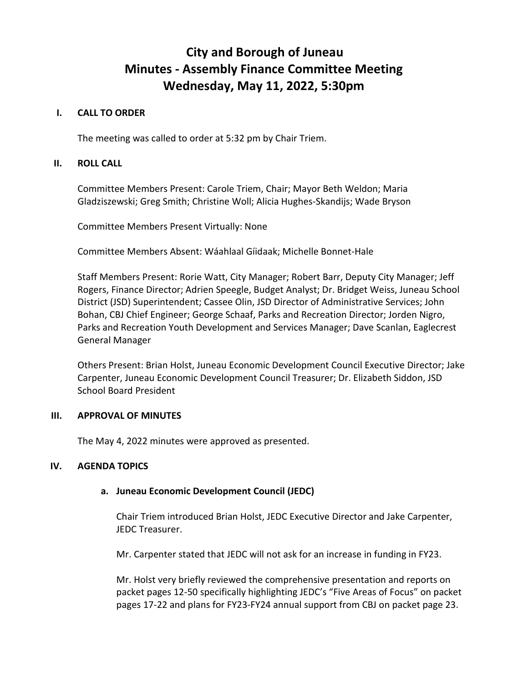# **City and Borough of Juneau Minutes - Assembly Finance Committee Meeting Wednesday, May 11, 2022, 5:30pm**

#### **I. CALL TO ORDER**

The meeting was called to order at 5:32 pm by Chair Triem.

### **II. ROLL CALL**

Committee Members Present: Carole Triem, Chair; Mayor Beth Weldon; Maria Gladziszewski; Greg Smith; Christine Woll; Alicia Hughes-Skandijs; Wade Bryson

Committee Members Present Virtually: None

Committee Members Absent: Wáahlaal Gíidaak; Michelle Bonnet-Hale

Staff Members Present: Rorie Watt, City Manager; Robert Barr, Deputy City Manager; Jeff Rogers, Finance Director; Adrien Speegle, Budget Analyst; Dr. Bridget Weiss, Juneau School District (JSD) Superintendent; Cassee Olin, JSD Director of Administrative Services; John Bohan, CBJ Chief Engineer; George Schaaf, Parks and Recreation Director; Jorden Nigro, Parks and Recreation Youth Development and Services Manager; Dave Scanlan, Eaglecrest General Manager

Others Present: Brian Holst, Juneau Economic Development Council Executive Director; Jake Carpenter, Juneau Economic Development Council Treasurer; Dr. Elizabeth Siddon, JSD School Board President

#### **III. APPROVAL OF MINUTES**

The May 4, 2022 minutes were approved as presented.

#### **IV. AGENDA TOPICS**

#### **a. Juneau Economic Development Council (JEDC)**

Chair Triem introduced Brian Holst, JEDC Executive Director and Jake Carpenter, JEDC Treasurer.

Mr. Carpenter stated that JEDC will not ask for an increase in funding in FY23.

Mr. Holst very briefly reviewed the comprehensive presentation and reports on packet pages 12-50 specifically highlighting JEDC's "Five Areas of Focus" on packet pages 17-22 and plans for FY23-FY24 annual support from CBJ on packet page 23.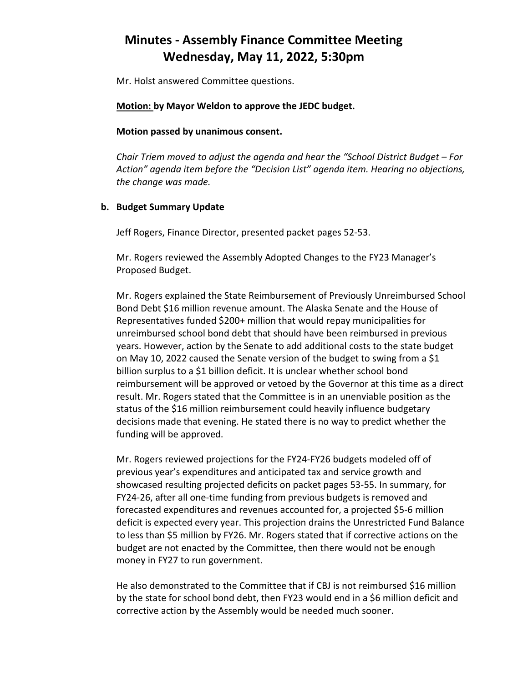Mr. Holst answered Committee questions.

**Motion: by Mayor Weldon to approve the JEDC budget.**

**Motion passed by unanimous consent.**

*Chair Triem moved to adjust the agenda and hear the "School District Budget – For Action" agenda item before the "Decision List" agenda item. Hearing no objections, the change was made.* 

#### **b. Budget Summary Update**

Jeff Rogers, Finance Director, presented packet pages 52-53.

Mr. Rogers reviewed the Assembly Adopted Changes to the FY23 Manager's Proposed Budget.

Mr. Rogers explained the State Reimbursement of Previously Unreimbursed School Bond Debt \$16 million revenue amount. The Alaska Senate and the House of Representatives funded \$200+ million that would repay municipalities for unreimbursed school bond debt that should have been reimbursed in previous years. However, action by the Senate to add additional costs to the state budget on May 10, 2022 caused the Senate version of the budget to swing from a \$1 billion surplus to a \$1 billion deficit. It is unclear whether school bond reimbursement will be approved or vetoed by the Governor at this time as a direct result. Mr. Rogers stated that the Committee is in an unenviable position as the status of the \$16 million reimbursement could heavily influence budgetary decisions made that evening. He stated there is no way to predict whether the funding will be approved.

Mr. Rogers reviewed projections for the FY24-FY26 budgets modeled off of previous year's expenditures and anticipated tax and service growth and showcased resulting projected deficits on packet pages 53-55. In summary, for FY24-26, after all one-time funding from previous budgets is removed and forecasted expenditures and revenues accounted for, a projected \$5-6 million deficit is expected every year. This projection drains the Unrestricted Fund Balance to less than \$5 million by FY26. Mr. Rogers stated that if corrective actions on the budget are not enacted by the Committee, then there would not be enough money in FY27 to run government.

He also demonstrated to the Committee that if CBJ is not reimbursed \$16 million by the state for school bond debt, then FY23 would end in a \$6 million deficit and corrective action by the Assembly would be needed much sooner.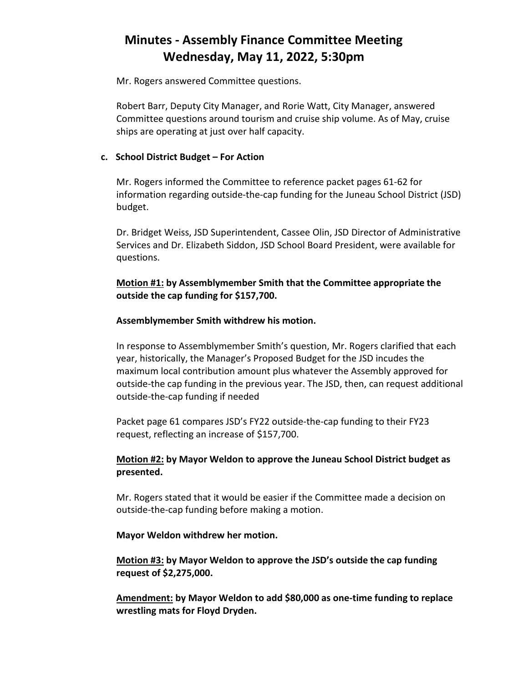Mr. Rogers answered Committee questions.

Robert Barr, Deputy City Manager, and Rorie Watt, City Manager, answered Committee questions around tourism and cruise ship volume. As of May, cruise ships are operating at just over half capacity.

### **c. School District Budget – For Action**

Mr. Rogers informed the Committee to reference packet pages 61-62 for information regarding outside-the-cap funding for the Juneau School District (JSD) budget.

Dr. Bridget Weiss, JSD Superintendent, Cassee Olin, JSD Director of Administrative Services and Dr. Elizabeth Siddon, JSD School Board President, were available for questions.

## **Motion #1: by Assemblymember Smith that the Committee appropriate the outside the cap funding for \$157,700.**

### **Assemblymember Smith withdrew his motion.**

In response to Assemblymember Smith's question, Mr. Rogers clarified that each year, historically, the Manager's Proposed Budget for the JSD incudes the maximum local contribution amount plus whatever the Assembly approved for outside-the cap funding in the previous year. The JSD, then, can request additional outside-the-cap funding if needed

Packet page 61 compares JSD's FY22 outside-the-cap funding to their FY23 request, reflecting an increase of \$157,700.

## **Motion #2: by Mayor Weldon to approve the Juneau School District budget as presented.**

Mr. Rogers stated that it would be easier if the Committee made a decision on outside-the-cap funding before making a motion.

#### **Mayor Weldon withdrew her motion.**

**Motion #3: by Mayor Weldon to approve the JSD's outside the cap funding request of \$2,275,000.**

**Amendment: by Mayor Weldon to add \$80,000 as one-time funding to replace wrestling mats for Floyd Dryden.**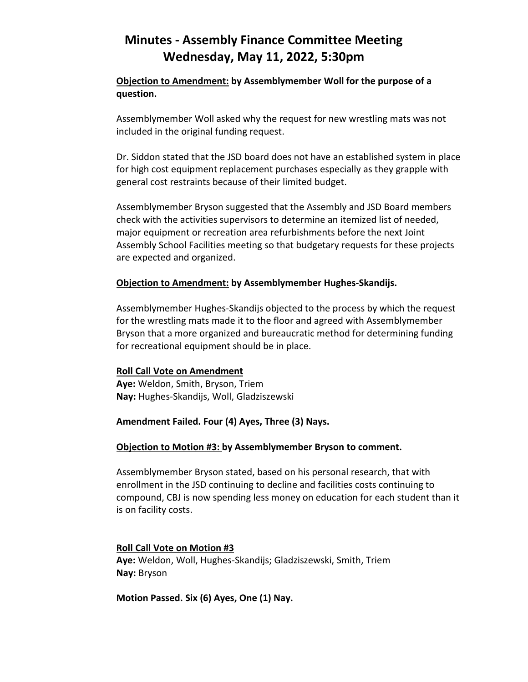## **Objection to Amendment: by Assemblymember Woll for the purpose of a question.**

Assemblymember Woll asked why the request for new wrestling mats was not included in the original funding request.

Dr. Siddon stated that the JSD board does not have an established system in place for high cost equipment replacement purchases especially as they grapple with general cost restraints because of their limited budget.

Assemblymember Bryson suggested that the Assembly and JSD Board members check with the activities supervisors to determine an itemized list of needed, major equipment or recreation area refurbishments before the next Joint Assembly School Facilities meeting so that budgetary requests for these projects are expected and organized.

### **Objection to Amendment: by Assemblymember Hughes-Skandijs.**

Assemblymember Hughes-Skandijs objected to the process by which the request for the wrestling mats made it to the floor and agreed with Assemblymember Bryson that a more organized and bureaucratic method for determining funding for recreational equipment should be in place.

## **Roll Call Vote on Amendment**

**Aye:** Weldon, Smith, Bryson, Triem **Nay:** Hughes-Skandijs, Woll, Gladziszewski

## **Amendment Failed. Four (4) Ayes, Three (3) Nays.**

## **Objection to Motion #3: by Assemblymember Bryson to comment.**

Assemblymember Bryson stated, based on his personal research, that with enrollment in the JSD continuing to decline and facilities costs continuing to compound, CBJ is now spending less money on education for each student than it is on facility costs.

## **Roll Call Vote on Motion #3**

**Aye:** Weldon, Woll, Hughes-Skandijs; Gladziszewski, Smith, Triem **Nay:** Bryson

**Motion Passed. Six (6) Ayes, One (1) Nay.**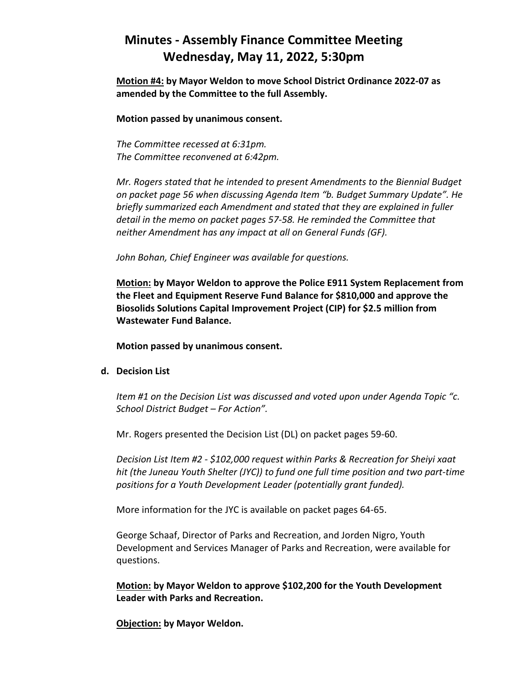**Motion #4: by Mayor Weldon to move School District Ordinance 2022-07 as amended by the Committee to the full Assembly.**

**Motion passed by unanimous consent.** 

*The Committee recessed at 6:31pm. The Committee reconvened at 6:42pm.*

*Mr. Rogers stated that he intended to present Amendments to the Biennial Budget on packet page 56 when discussing Agenda Item "b. Budget Summary Update". He briefly summarized each Amendment and stated that they are explained in fuller detail in the memo on packet pages 57-58. He reminded the Committee that neither Amendment has any impact at all on General Funds (GF).*

*John Bohan, Chief Engineer was available for questions.*

**Motion: by Mayor Weldon to approve the Police E911 System Replacement from the Fleet and Equipment Reserve Fund Balance for \$810,000 and approve the Biosolids Solutions Capital Improvement Project (CIP) for \$2.5 million from Wastewater Fund Balance.**

**Motion passed by unanimous consent.**

**d. Decision List**

*Item #1 on the Decision List was discussed and voted upon under Agenda Topic "c. School District Budget – For Action".*

Mr. Rogers presented the Decision List (DL) on packet pages 59-60.

*Decision List Item #2 - \$102,000 request within Parks & Recreation for Sheiyi xaat hit (the Juneau Youth Shelter (JYC)) to fund one full time position and two part-time positions for a Youth Development Leader (potentially grant funded).*

More information for the JYC is available on packet pages 64-65.

George Schaaf, Director of Parks and Recreation, and Jorden Nigro, Youth Development and Services Manager of Parks and Recreation, were available for questions.

**Motion: by Mayor Weldon to approve \$102,200 for the Youth Development Leader with Parks and Recreation.**

**Objection: by Mayor Weldon.**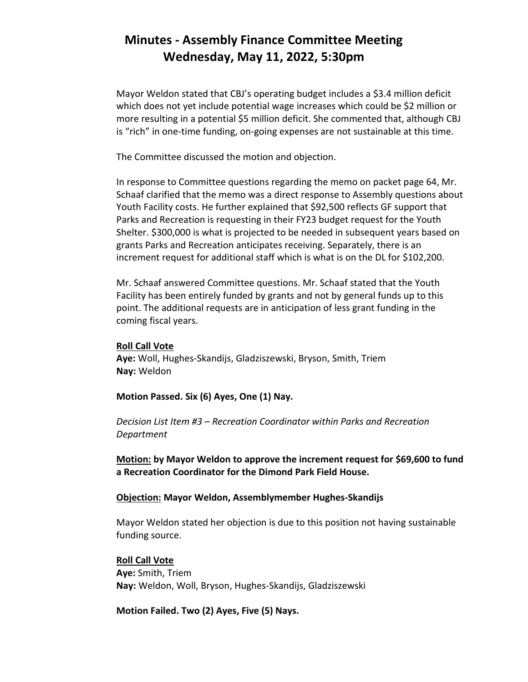Mayor Weldon stated that CBJ's operating budget includes a \$3.4 million deficit which does not yet include potential wage increases which could be \$2 million or more resulting in a potential \$5 million deficit. She commented that, although CBJ is "rich" in one-time funding, on-going expenses are not sustainable at this time.

The Committee discussed the motion and objection.

In response to Committee questions regarding the memo on packet page 64, Mr. Schaaf clarified that the memo was a direct response to Assembly questions about Youth Facility costs. He further explained that \$92,500 reflects GF support that Parks and Recreation is requesting in their FY23 budget request for the Youth Shelter. \$300,000 is what is projected to be needed in subsequent years based on grants Parks and Recreation anticipates receiving. Separately, there is an increment request for additional staff which is what is on the DL for \$102,200.

Mr. Schaaf answered Committee questions. Mr. Schaaf stated that the Youth Facility has been entirely funded by grants and not by general funds up to this point. The additional requests are in anticipation of less grant funding in the coming fiscal years.

#### **Roll Call Vote**

**Aye:** Woll, Hughes-Skandijs, Gladziszewski, Bryson, Smith, Triem **Nay:** Weldon

**Motion Passed. Six (6) Ayes, One (1) Nay.**

*Decision List Item #3 – Recreation Coordinator within Parks and Recreation Department*

**Motion: by Mayor Weldon to approve the increment request for \$69,600 to fund a Recreation Coordinator for the Dimond Park Field House.**

#### **Objection: Mayor Weldon, Assemblymember Hughes-Skandijs**

Mayor Weldon stated her objection is due to this position not having sustainable funding source.

#### **Roll Call Vote**

**Aye:** Smith, Triem **Nay:** Weldon, Woll, Bryson, Hughes-Skandijs, Gladziszewski

**Motion Failed. Two (2) Ayes, Five (5) Nays.**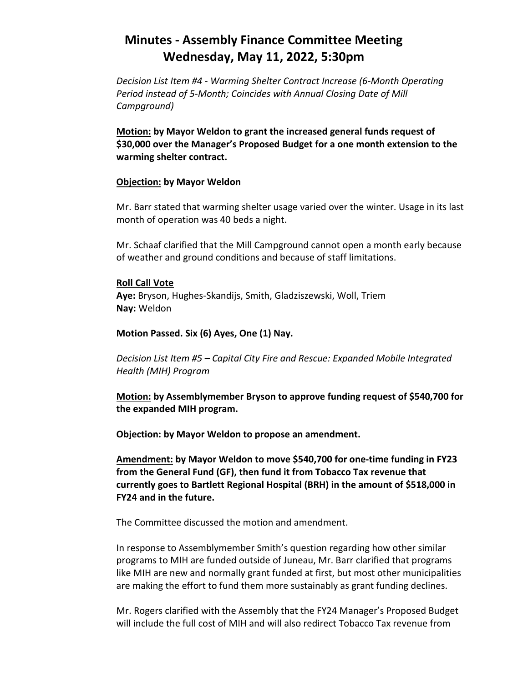*Decision List Item #4 - Warming Shelter Contract Increase (6-Month Operating Period instead of 5-Month; Coincides with Annual Closing Date of Mill Campground)*

**Motion: by Mayor Weldon to grant the increased general funds request of \$30,000 over the Manager's Proposed Budget for a one month extension to the warming shelter contract.**

#### **Objection: by Mayor Weldon**

Mr. Barr stated that warming shelter usage varied over the winter. Usage in its last month of operation was 40 beds a night.

Mr. Schaaf clarified that the Mill Campground cannot open a month early because of weather and ground conditions and because of staff limitations.

#### **Roll Call Vote**

**Aye:** Bryson, Hughes-Skandijs, Smith, Gladziszewski, Woll, Triem **Nay:** Weldon

#### **Motion Passed. Six (6) Ayes, One (1) Nay.**

*Decision List Item #5 – Capital City Fire and Rescue: Expanded Mobile Integrated Health (MIH) Program* 

**Motion: by Assemblymember Bryson to approve funding request of \$540,700 for the expanded MIH program.**

**Objection: by Mayor Weldon to propose an amendment.** 

**Amendment: by Mayor Weldon to move \$540,700 for one-time funding in FY23 from the General Fund (GF), then fund it from Tobacco Tax revenue that currently goes to Bartlett Regional Hospital (BRH) in the amount of \$518,000 in FY24 and in the future.**

The Committee discussed the motion and amendment.

In response to Assemblymember Smith's question regarding how other similar programs to MIH are funded outside of Juneau, Mr. Barr clarified that programs like MIH are new and normally grant funded at first, but most other municipalities are making the effort to fund them more sustainably as grant funding declines.

Mr. Rogers clarified with the Assembly that the FY24 Manager's Proposed Budget will include the full cost of MIH and will also redirect Tobacco Tax revenue from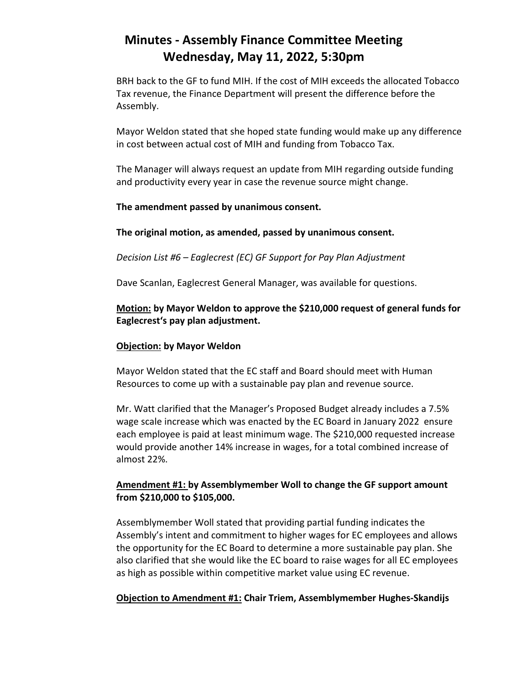BRH back to the GF to fund MIH. If the cost of MIH exceeds the allocated Tobacco Tax revenue, the Finance Department will present the difference before the Assembly.

Mayor Weldon stated that she hoped state funding would make up any difference in cost between actual cost of MIH and funding from Tobacco Tax.

The Manager will always request an update from MIH regarding outside funding and productivity every year in case the revenue source might change.

### **The amendment passed by unanimous consent.**

### **The original motion, as amended, passed by unanimous consent.**

*Decision List #6 – Eaglecrest (EC) GF Support for Pay Plan Adjustment*

Dave Scanlan, Eaglecrest General Manager, was available for questions.

## **Motion: by Mayor Weldon to approve the \$210,000 request of general funds for Eaglecrest's pay plan adjustment.**

### **Objection: by Mayor Weldon**

Mayor Weldon stated that the EC staff and Board should meet with Human Resources to come up with a sustainable pay plan and revenue source.

Mr. Watt clarified that the Manager's Proposed Budget already includes a 7.5% wage scale increase which was enacted by the EC Board in January 2022 ensure each employee is paid at least minimum wage. The \$210,000 requested increase would provide another 14% increase in wages, for a total combined increase of almost 22%.

## **Amendment #1: by Assemblymember Woll to change the GF support amount from \$210,000 to \$105,000.**

Assemblymember Woll stated that providing partial funding indicates the Assembly's intent and commitment to higher wages for EC employees and allows the opportunity for the EC Board to determine a more sustainable pay plan. She also clarified that she would like the EC board to raise wages for all EC employees as high as possible within competitive market value using EC revenue.

#### **Objection to Amendment #1: Chair Triem, Assemblymember Hughes-Skandijs**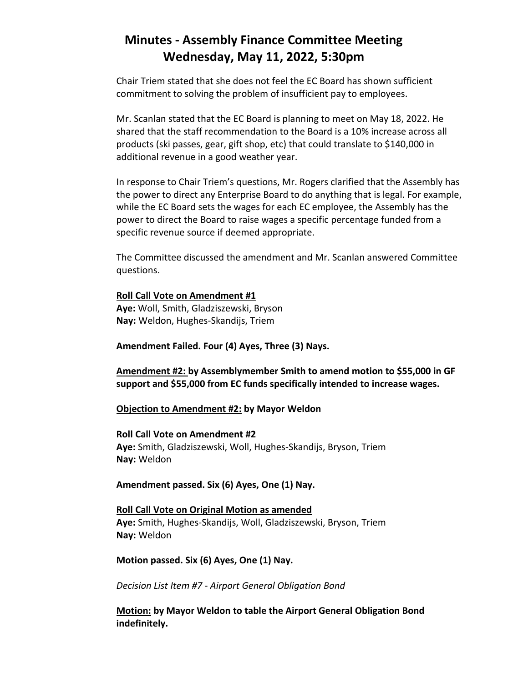Chair Triem stated that she does not feel the EC Board has shown sufficient commitment to solving the problem of insufficient pay to employees.

Mr. Scanlan stated that the EC Board is planning to meet on May 18, 2022. He shared that the staff recommendation to the Board is a 10% increase across all products (ski passes, gear, gift shop, etc) that could translate to \$140,000 in additional revenue in a good weather year.

In response to Chair Triem's questions, Mr. Rogers clarified that the Assembly has the power to direct any Enterprise Board to do anything that is legal. For example, while the EC Board sets the wages for each EC employee, the Assembly has the power to direct the Board to raise wages a specific percentage funded from a specific revenue source if deemed appropriate.

The Committee discussed the amendment and Mr. Scanlan answered Committee questions.

**Roll Call Vote on Amendment #1 Aye:** Woll, Smith, Gladziszewski, Bryson **Nay:** Weldon, Hughes-Skandijs, Triem

**Amendment Failed. Four (4) Ayes, Three (3) Nays.**

**Amendment #2: by Assemblymember Smith to amend motion to \$55,000 in GF support and \$55,000 from EC funds specifically intended to increase wages.**

#### **Objection to Amendment #2: by Mayor Weldon**

#### **Roll Call Vote on Amendment #2**

**Aye:** Smith, Gladziszewski, Woll, Hughes-Skandijs, Bryson, Triem **Nay:** Weldon

**Amendment passed. Six (6) Ayes, One (1) Nay.**

**Roll Call Vote on Original Motion as amended Aye:** Smith, Hughes-Skandijs, Woll, Gladziszewski, Bryson, Triem **Nay:** Weldon

**Motion passed. Six (6) Ayes, One (1) Nay.**

*Decision List Item #7 - Airport General Obligation Bond*

**Motion: by Mayor Weldon to table the Airport General Obligation Bond indefinitely.**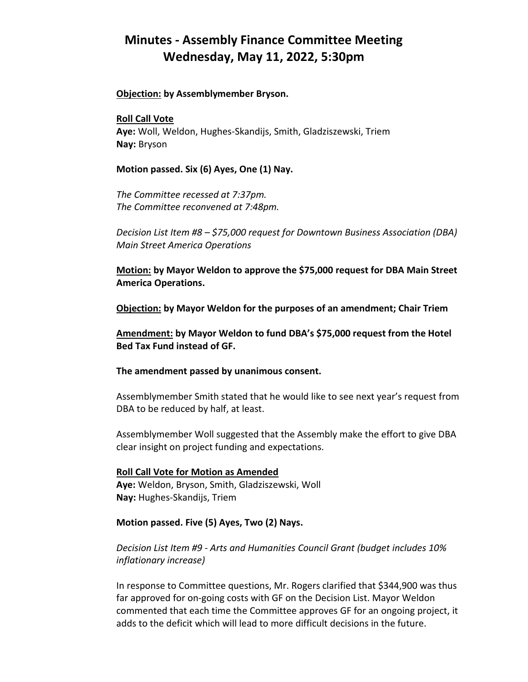#### **Objection: by Assemblymember Bryson.**

#### **Roll Call Vote**

**Aye:** Woll, Weldon, Hughes-Skandijs, Smith, Gladziszewski, Triem **Nay:** Bryson

#### **Motion passed. Six (6) Ayes, One (1) Nay.**

*The Committee recessed at 7:37pm. The Committee reconvened at 7:48pm.*

*Decision List Item #8 – \$75,000 request for Downtown Business Association (DBA) Main Street America Operations*

**Motion: by Mayor Weldon to approve the \$75,000 request for DBA Main Street America Operations.**

**Objection: by Mayor Weldon for the purposes of an amendment; Chair Triem**

**Amendment: by Mayor Weldon to fund DBA's \$75,000 request from the Hotel Bed Tax Fund instead of GF.**

#### **The amendment passed by unanimous consent.**

Assemblymember Smith stated that he would like to see next year's request from DBA to be reduced by half, at least.

Assemblymember Woll suggested that the Assembly make the effort to give DBA clear insight on project funding and expectations.

### **Roll Call Vote for Motion as Amended Aye:** Weldon, Bryson, Smith, Gladziszewski, Woll **Nay:** Hughes-Skandijs, Triem

#### **Motion passed. Five (5) Ayes, Two (2) Nays.**

*Decision List Item #9 - Arts and Humanities Council Grant (budget includes 10% inflationary increase)*

In response to Committee questions, Mr. Rogers clarified that \$344,900 was thus far approved for on-going costs with GF on the Decision List. Mayor Weldon commented that each time the Committee approves GF for an ongoing project, it adds to the deficit which will lead to more difficult decisions in the future.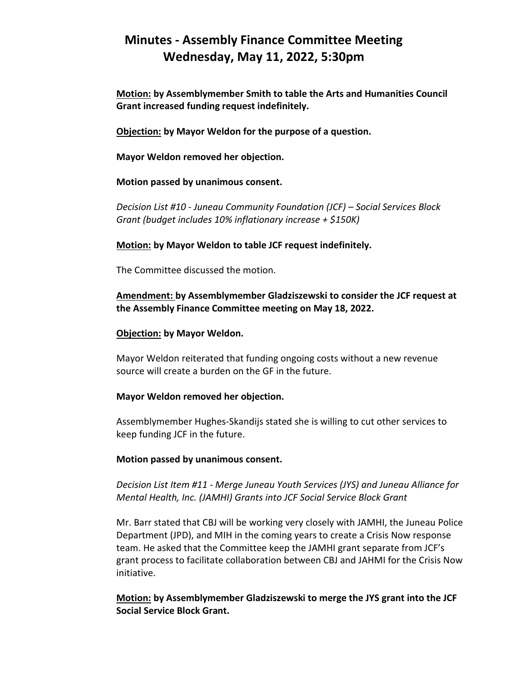**Motion: by Assemblymember Smith to table the Arts and Humanities Council Grant increased funding request indefinitely.**

**Objection: by Mayor Weldon for the purpose of a question.**

**Mayor Weldon removed her objection.** 

**Motion passed by unanimous consent.** 

*Decision List #10 - Juneau Community Foundation (JCF) – Social Services Block Grant (budget includes 10% inflationary increase + \$150K)*

**Motion: by Mayor Weldon to table JCF request indefinitely.** 

The Committee discussed the motion.

**Amendment: by Assemblymember Gladziszewski to consider the JCF request at the Assembly Finance Committee meeting on May 18, 2022.** 

#### **Objection: by Mayor Weldon.**

Mayor Weldon reiterated that funding ongoing costs without a new revenue source will create a burden on the GF in the future.

#### **Mayor Weldon removed her objection.**

Assemblymember Hughes-Skandijs stated she is willing to cut other services to keep funding JCF in the future.

#### **Motion passed by unanimous consent.**

*Decision List Item #11 - Merge Juneau Youth Services (JYS) and Juneau Alliance for Mental Health, Inc. (JAMHI) Grants into JCF Social Service Block Grant*

Mr. Barr stated that CBJ will be working very closely with JAMHI, the Juneau Police Department (JPD), and MIH in the coming years to create a Crisis Now response team. He asked that the Committee keep the JAMHI grant separate from JCF's grant process to facilitate collaboration between CBJ and JAHMI for the Crisis Now initiative.

**Motion: by Assemblymember Gladziszewski to merge the JYS grant into the JCF Social Service Block Grant.**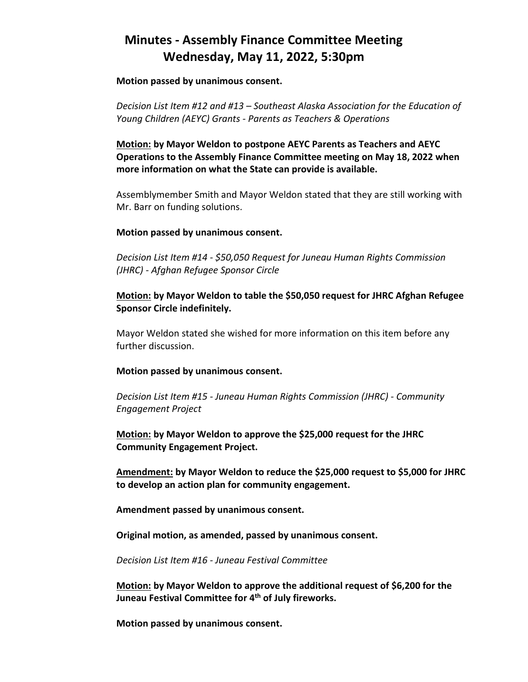**Motion passed by unanimous consent.** 

*Decision List Item #12 and #13 – Southeast Alaska Association for the Education of Young Children (AEYC) Grants - Parents as Teachers & Operations*

**Motion: by Mayor Weldon to postpone AEYC Parents as Teachers and AEYC Operations to the Assembly Finance Committee meeting on May 18, 2022 when more information on what the State can provide is available.**

Assemblymember Smith and Mayor Weldon stated that they are still working with Mr. Barr on funding solutions.

#### **Motion passed by unanimous consent.**

*Decision List Item #14 - \$50,050 Request for Juneau Human Rights Commission (JHRC) - Afghan Refugee Sponsor Circle*

### **Motion: by Mayor Weldon to table the \$50,050 request for JHRC Afghan Refugee Sponsor Circle indefinitely.**

Mayor Weldon stated she wished for more information on this item before any further discussion.

#### **Motion passed by unanimous consent.**

*Decision List Item #15 - Juneau Human Rights Commission (JHRC) - Community Engagement Project*

**Motion: by Mayor Weldon to approve the \$25,000 request for the JHRC Community Engagement Project.**

**Amendment: by Mayor Weldon to reduce the \$25,000 request to \$5,000 for JHRC to develop an action plan for community engagement.**

**Amendment passed by unanimous consent.** 

**Original motion, as amended, passed by unanimous consent.** 

*Decision List Item #16 - Juneau Festival Committee*

**Motion: by Mayor Weldon to approve the additional request of \$6,200 for the Juneau Festival Committee for 4th of July fireworks.**

**Motion passed by unanimous consent.**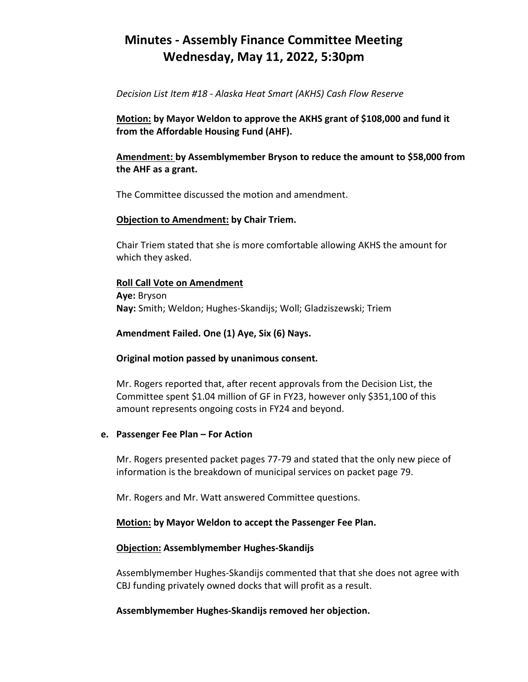*Decision List Item #18 - Alaska Heat Smart (AKHS) Cash Flow Reserve*

**Motion: by Mayor Weldon to approve the AKHS grant of \$108,000 and fund it from the Affordable Housing Fund (AHF).**

### **Amendment: by Assemblymember Bryson to reduce the amount to \$58,000 from the AHF as a grant.**

The Committee discussed the motion and amendment.

#### **Objection to Amendment: by Chair Triem.**

Chair Triem stated that she is more comfortable allowing AKHS the amount for which they asked.

#### **Roll Call Vote on Amendment**

**Aye:** Bryson **Nay:** Smith; Weldon; Hughes-Skandijs; Woll; Gladziszewski; Triem

#### **Amendment Failed. One (1) Aye, Six (6) Nays.**

#### **Original motion passed by unanimous consent.**

Mr. Rogers reported that, after recent approvals from the Decision List, the Committee spent \$1.04 million of GF in FY23, however only \$351,100 of this amount represents ongoing costs in FY24 and beyond.

#### **e. Passenger Fee Plan – For Action**

Mr. Rogers presented packet pages 77-79 and stated that the only new piece of information is the breakdown of municipal services on packet page 79.

Mr. Rogers and Mr. Watt answered Committee questions.

## **Motion: by Mayor Weldon to accept the Passenger Fee Plan.**

#### **Objection: Assemblymember Hughes-Skandijs**

Assemblymember Hughes-Skandijs commented that that she does not agree with CBJ funding privately owned docks that will profit as a result.

#### **Assemblymember Hughes-Skandijs removed her objection.**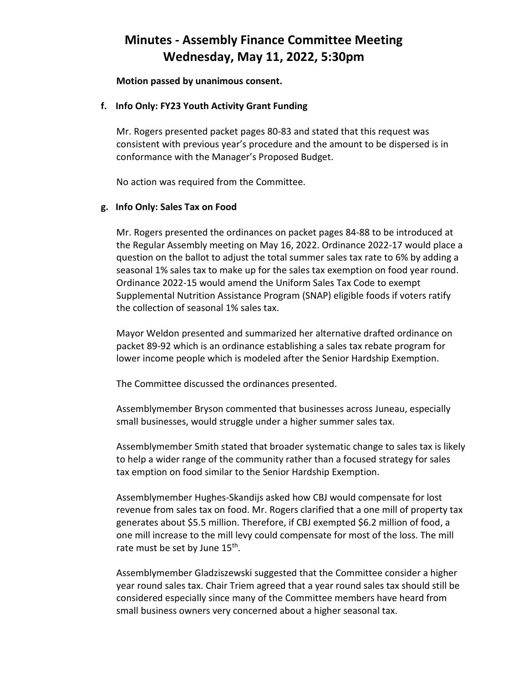**Motion passed by unanimous consent.** 

#### **f. Info Only: FY23 Youth Activity Grant Funding**

Mr. Rogers presented packet pages 80-83 and stated that this request was consistent with previous year's procedure and the amount to be dispersed is in conformance with the Manager's Proposed Budget.

No action was required from the Committee.

#### **g. Info Only: Sales Tax on Food**

Mr. Rogers presented the ordinances on packet pages 84-88 to be introduced at the Regular Assembly meeting on May 16, 2022. Ordinance 2022-17 would place a question on the ballot to adjust the total summer sales tax rate to 6% by adding a seasonal 1% sales tax to make up for the sales tax exemption on food year round. Ordinance 2022-15 would amend the Uniform Sales Tax Code to exempt Supplemental Nutrition Assistance Program (SNAP) eligible foods if voters ratify the collection of seasonal 1% sales tax.

Mayor Weldon presented and summarized her alternative drafted ordinance on packet 89-92 which is an ordinance establishing a sales tax rebate program for lower income people which is modeled after the Senior Hardship Exemption.

The Committee discussed the ordinances presented.

Assemblymember Bryson commented that businesses across Juneau, especially small businesses, would struggle under a higher summer sales tax.

Assemblymember Smith stated that broader systematic change to sales tax is likely to help a wider range of the community rather than a focused strategy for sales tax emption on food similar to the Senior Hardship Exemption.

Assemblymember Hughes-Skandijs asked how CBJ would compensate for lost revenue from sales tax on food. Mr. Rogers clarified that a one mill of property tax generates about \$5.5 million. Therefore, if CBJ exempted \$6.2 million of food, a one mill increase to the mill levy could compensate for most of the loss. The mill rate must be set by June 15<sup>th</sup>.

Assemblymember Gladziszewski suggested that the Committee consider a higher year round sales tax. Chair Triem agreed that a year round sales tax should still be considered especially since many of the Committee members have heard from small business owners very concerned about a higher seasonal tax.